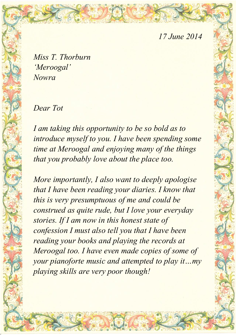## *17 June 2014*

*Miss T. Thorburn 'Meroogal' Nowra* 

*Dear Tot* 

*I am taking this opportunity to be so bold as to introduce myself to you. I have been spending some time at Meroogal and enjoying many of the things that you probably love about the place too.* 

*More importantly, I also want to deeply apologise that I have been reading your diaries. I know that this is very presumptuous of me and could be construed as quite rude, but I love your everyday stories. If I am now in this honest state of confession I must also tell you that I have been reading your books and playing the records at Meroogal too. I have even made copies of some of your pianoforte music and attempted to play it…my playing skills are very poor though!*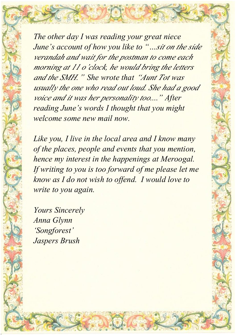*The other day I was reading your great niece June's account of how you like to "…sit on the side verandah and wait for the postman to come each morning at 11 o'clock, he would bring the letters and the SMH." She wrote that "Aunt Tot was usually the one who read out loud. She had a good voice and it was her personality too...." After reading June's words I thought that you might welcome some new mail now.* 

*Like you, I live in the local area and I know many of the places, people and events that you mention, hence my interest in the happenings at Meroogal. If writing to you is too forward of me please let me know as I do not wish to offend. I would love to write to you again.* 

*Yours Sincerely Anna Glynn 'Songforest' Jaspers Brush*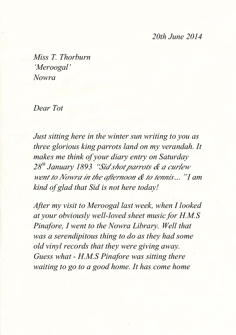## *20th June 2014*

*Miss T. Thorburn 'Meroogal' Nowra* 

*Dear Tot* 

*Just sitting here in the winter sun writing to you as three glorious king parrots land on my verandah. It makes me think of your diary entry on Saturday 28th January 1893 "Sid shot parrots & a curlew went to Nowra in the afternoon & to tennis…" I am kind of glad that Sid is not here today!* 

*After my visit to Meroogal last week, when I looked at your obviously well-loved sheet music for H.M.S Pinafore, I went to the Nowra Library. Well that was a serendipitous thing to do as they had some old vinyl records that they were giving away. Guess what - H.M.S Pinafore was sitting there waiting to go to a good home. It has come home*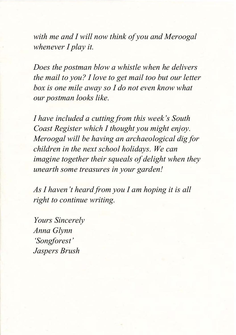*with me and I will now think of you and Meroogal whenever I play it.* 

*Does the postman blow a whistle when he delivers the mail to you? I love to get mail too but our letter box is one mile away so I do not even know what our postman looks like.* 

*I have included a cutting from this week's South Coast Register which I thought you might enjoy. Meroogal will be having an archaeological dig for children in the next school holidays. We can imagine together their squeals of delight when they unearth some treasures in your garden!* 

*As I haven't heard from you I am hoping it is all right to continue writing.* 

*Yours Sincerely Anna Glynn 'Songforest' Jaspers Brush*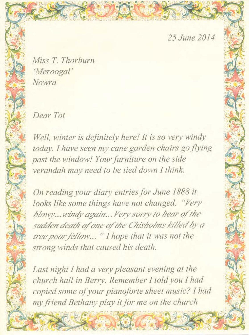25 June 2014

Miss T. Thorburn 'Meroogal' Nowra

Dear Tot

Well, winter is definitely here! It is so very windy today. I have seen my cane garden chairs go flying past the window! Your furniture on the side verandah may need to be tied down I think.

On reading your diary entries for June 1888 it looks like some things have not changed. "Very blowy...windy again... Very sorry to hear of the sudden death of one of the Chisholms killed by a tree poor fellow... " I hope that it was not the strong winds that caused his death.

Last night I had a very pleasant evening at the church hall in Berry. Remember I told you I had copied some of your pianoforte sheet music? I had my friend Bethany play it for me on the church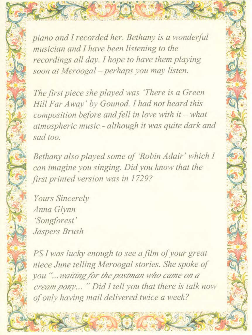piano and I recorded her. Bethany is a wonderful musician and I have been listening to the recordings all day. I hope to have them playing soon at Meroogal - perhaps you may listen.

The first piece she played was 'There is a Green' Hill Far Away' by Gounod. I had not heard this composition before and fell in love with it - what atmospheric music - although it was quite dark and sad too.

Bethany also played some of 'Robin Adair' which I can imagine you singing. Did you know that the first printed version was in 1729?

Yours Sincerely Anna Glynn 'Songforest' Jaspers Brush

PS I was lucky enough to see a film of your great niece June telling Meroogal stories. She spoke of you "... waiting for the postman who came on a cream pony... " Did I tell you that there is talk now of only having mail delivered twice a week?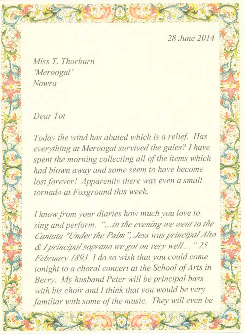28 June 2014

Miss T. Thorburn 'Meroogal' Nowra

Dear Tot

Today the wind has abated which is a relief. Has everything at Meroogal survived the gales? I have spent the morning collecting all of the items which had blown away and some seem to have become lost forever! Apparently there was even a small tornado at Foxground this week.

I know from your diaries how much you love to sing and perform. "... in the evening we went to the Cantata "Under the Palm", Jess was principal Alto & I principal soprano we got on very well ... "25 February 1893. I do so wish that you could come tonight to a choral concert at the School of Arts in Berry. My husband Peter will be principal bass with his choir and I think that you would be very familiar with some of the music. They will even be